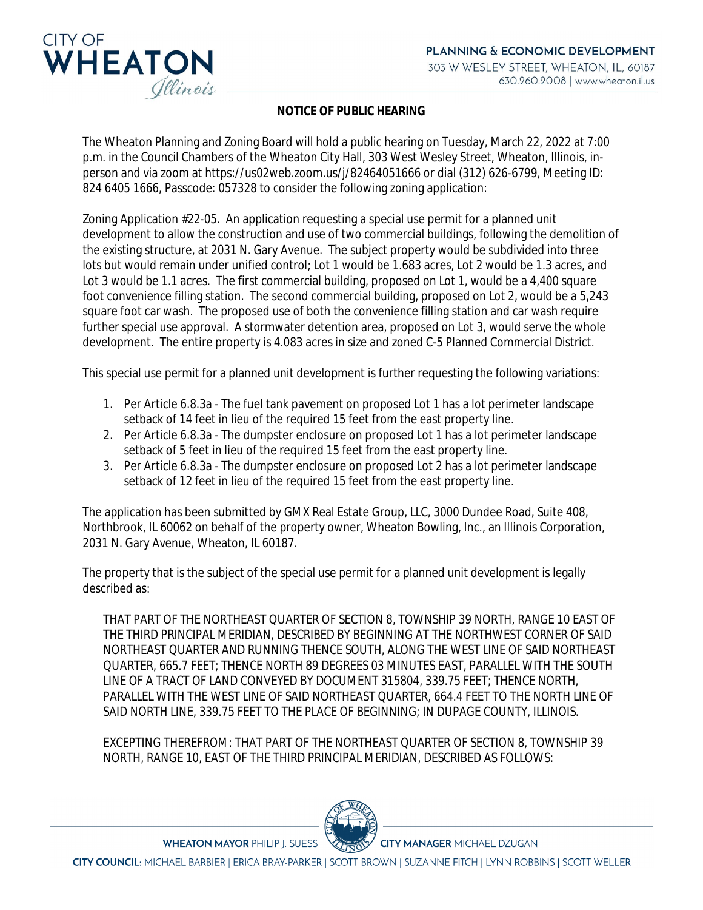

## **NOTICE OF PUBLIC HEARING**

The Wheaton Planning and Zoning Board will hold a public hearing on Tuesday, March 22, 2022 at 7:00 p.m. in the Council Chambers of the Wheaton City Hall, 303 West Wesley Street, Wheaton, Illinois, inperson and via zoom at [https://us02web.zoom.us/j/82464051666](https://gcc02.safelinks.protection.outlook.com/?url=https%3A%2F%2Fus02web.zoom.us%2Fj%2F82464051666&data=04%7C01%7CTJones%40wheaton.il.us%7C19a9f21c5601427da83e08d9f7a8e42b%7C7409600a5a354350817a26ff18a4fd75%7C0%7C0%7C637813127025045922%7CUnknown%7CTWFpbGZsb3d8eyJWIjoiMC4wLjAwMDAiLCJQIjoiV2luMzIiLCJBTiI6Ik1haWwiLCJXVCI6Mn0%3D%7C3000&sdata=0UqaKNyvIvD%2FDfsumJsOnVagZWww0EcMUKnxA4QQ%2BZM%3D&reserved=0) or dial (312) 626-6799, Meeting ID: 824 6405 1666, Passcode: 057328 to consider the following zoning application:

Zoning Application #22-05. An application requesting a special use permit for a planned unit development to allow the construction and use of two commercial buildings, following the demolition of the existing structure, at 2031 N. Gary Avenue. The subject property would be subdivided into three lots but would remain under unified control; Lot 1 would be 1.683 acres, Lot 2 would be 1.3 acres, and Lot 3 would be 1.1 acres. The first commercial building, proposed on Lot 1, would be a 4,400 square foot convenience filling station. The second commercial building, proposed on Lot 2, would be a 5,243 square foot car wash. The proposed use of both the convenience filling station and car wash require further special use approval. A stormwater detention area, proposed on Lot 3, would serve the whole development. The entire property is 4.083 acres in size and zoned C-5 Planned Commercial District.

This special use permit for a planned unit development is further requesting the following variations:

- 1. Per Article 6.8.3a The fuel tank pavement on proposed Lot 1 has a lot perimeter landscape setback of 14 feet in lieu of the required 15 feet from the east property line.
- 2. Per Article 6.8.3a The dumpster enclosure on proposed Lot 1 has a lot perimeter landscape setback of 5 feet in lieu of the required 15 feet from the east property line.
- 3. Per Article 6.8.3a The dumpster enclosure on proposed Lot 2 has a lot perimeter landscape setback of 12 feet in lieu of the required 15 feet from the east property line.

The application has been submitted by GMX Real Estate Group, LLC, 3000 Dundee Road, Suite 408, Northbrook, IL 60062 on behalf of the property owner, Wheaton Bowling, Inc., an Illinois Corporation, 2031 N. Gary Avenue, Wheaton, IL 60187.

The property that is the subject of the special use permit for a planned unit development is legally described as:

THAT PART OF THE NORTHEAST QUARTER OF SECTION 8, TOWNSHIP 39 NORTH, RANGE 10 EAST OF THE THIRD PRINCIPAL MERIDIAN, DESCRIBED BY BEGINNING AT THE NORTHWEST CORNER OF SAID NORTHEAST QUARTER AND RUNNING THENCE SOUTH, ALONG THE WEST LINE OF SAID NORTHEAST QUARTER, 665.7 FEET; THENCE NORTH 89 DEGREES 03 MINUTES EAST, PARALLEL WITH THE SOUTH LINE OF A TRACT OF LAND CONVEYED BY DOCUMENT 315804, 339.75 FEET; THENCE NORTH, PARALLEL WITH THE WEST LINE OF SAID NORTHEAST QUARTER, 664.4 FEET TO THE NORTH LINE OF SAID NORTH LINE, 339.75 FEET TO THE PLACE OF BEGINNING; IN DUPAGE COUNTY, ILLINOIS.

EXCEPTING THEREFROM: THAT PART OF THE NORTHEAST QUARTER OF SECTION 8, TOWNSHIP 39 NORTH, RANGE 10, EAST OF THE THIRD PRINCIPAL MERIDIAN, DESCRIBED AS FOLLOWS:



**WHEATON MAYOR PHILIP J. SUESS** 

**CITY MANAGER MICHAEL DZUGAN** 

CITY COUNCIL: MICHAEL BARBIER | ERICA BRAY-PARKER | SCOTT BROWN | SUZANNE FITCH | LYNN ROBBINS | SCOTT WELLER